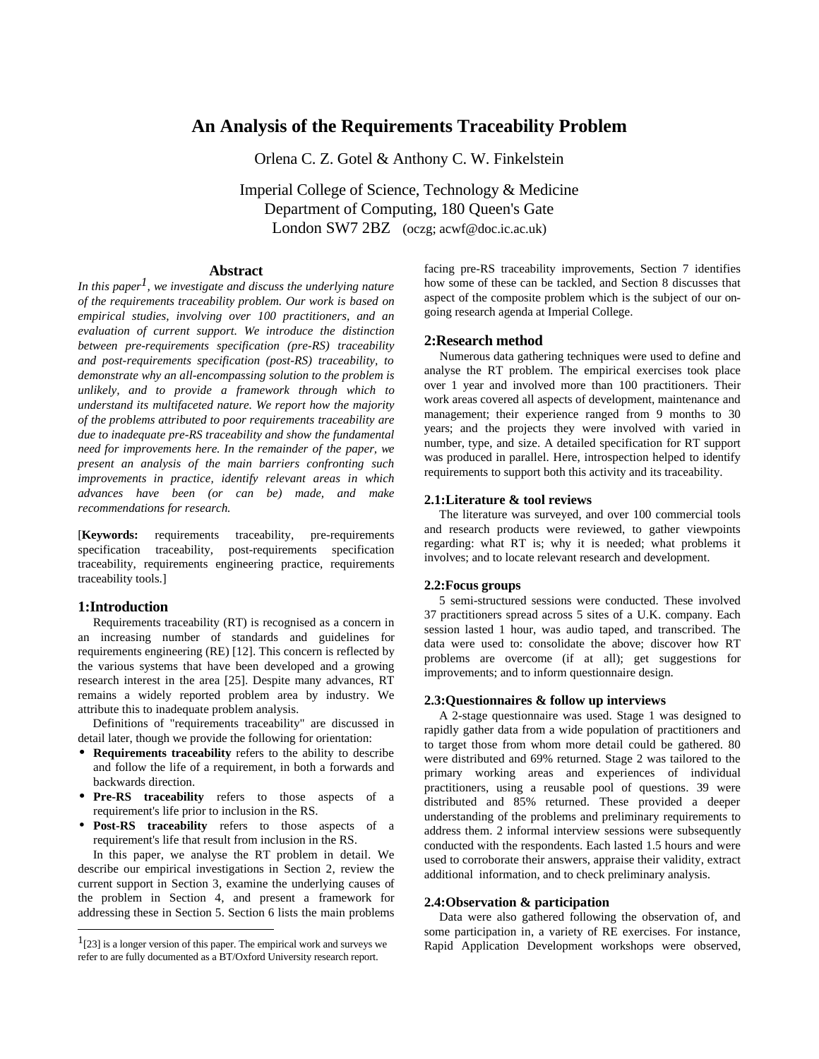# **An Analysis of the Requirements Traceability Problem**

Orlena C. Z. Gotel & Anthony C. W. Finkelstein

Imperial College of Science, Technology & Medicine Department of Computing, 180 Queen's Gate London SW7 2BZ (oczg; acwf@doc.ic.ac.uk)

*In this paper1, we investigate and discuss the underlying nature of the requirements traceability problem. Our work is based on empirical studies, involving over 100 practitioners, and an evaluation of current support. We introduce the distinction between pre-requirements specification (pre-RS) traceability and post-requirements specification (post-RS) traceability, to demonstrate why an all-encompassing solution to the problem is unlikely, and to provide a framework through which to understand its multifaceted nature. We report how the majority of the problems attributed to poor requirements traceability are due to inadequate pre-RS traceability and show the fundamental need for improvements here. In the remainder of the paper, we present an analysis of the main barriers confronting such improvements in practice, identify relevant areas in which advances have been (or can be) made, and make recommendations for research.*

[**Keywords:** requirements traceability, pre-requirements specification traceability, post-requirements specification traceability, requirements engineering practice, requirements traceability tools.] **2.2:Focus groups**

# **1:Introduction**

Requirements traceability (RT) is recognised as a concern in an increasing number of standards and guidelines for requirements engineering (RE) [12]. This concern is reflected by the various systems that have been developed and a growing research interest in the area [25]. Despite many advances, RT remains a widely reported problem area by industry. We attribute this to inadequate problem analysis. **2.3:Questionnaires & follow up interviews**

Definitions of "requirements traceability" are discussed in detail later, though we provide the following for orientation:

- **Requirements traceability** refers to the ability to describe and follow the life of a requirement, in both a forwards and backwards direction.
- **Pre-RS traceability** refers to those aspects of a requirement's life prior to inclusion in the RS.
- **Post-RS traceability** refers to those aspects of a requirement's life that result from inclusion in the RS.

In this paper, we analyse the RT problem in detail. We describe our empirical investigations in Section 2, review the current support in Section 3, examine the underlying causes of the problem in Section 4, and present a framework for the problem in Section 4, and present a framework for **2.4:Observation & participation** addressing these in Section 5. Section 6 lists the main problems

**Abstract** facing pre-RS traceability improvements, Section 7 identifies how some of these can be tackled, and Section 8 discusses that aspect of the composite problem which is the subject of our ongoing research agenda at Imperial College.

# **2:Research method**

Numerous data gathering techniques were used to define and analyse the RT problem. The empirical exercises took place over 1 year and involved more than 100 practitioners. Their work areas covered all aspects of development, maintenance and management; their experience ranged from 9 months to 30 years; and the projects they were involved with varied in number, type, and size. A detailed specification for RT support was produced in parallel. Here, introspection helped to identify requirements to support both this activity and its traceability.

## **2.1:Literature & tool reviews**

The literature was surveyed, and over 100 commercial tools and research products were reviewed, to gather viewpoints regarding: what RT is; why it is needed; what problems it involves; and to locate relevant research and development.

5 semi-structured sessions were conducted. These involved 37 practitioners spread across 5 sites of a U.K. company. Each session lasted 1 hour, was audio taped, and transcribed. The data were used to: consolidate the above; discover how RT problems are overcome (if at all); get suggestions for improvements; and to inform questionnaire design.

A 2-stage questionnaire was used. Stage 1 was designed to rapidly gather data from a wide population of practitioners and to target those from whom more detail could be gathered. 80 were distributed and 69% returned. Stage 2 was tailored to the primary working areas and experiences of individual practitioners, using a reusable pool of questions. 39 were distributed and 85% returned. These provided a deeper understanding of the problems and preliminary requirements to address them. 2 informal interview sessions were subsequently conducted with the respondents. Each lasted 1.5 hours and were used to corroborate their answers, appraise their validity, extract additional information, and to check preliminary analysis.

Data were also gathered following the observation of, and some participation in, a variety of RE exercises. For instance, Rapid Application Development workshops were observed,

 $<sup>1</sup>$ [23] is a longer version of this paper. The empirical work and surveys we</sup> refer to are fully documented as a BT/Oxford University research report.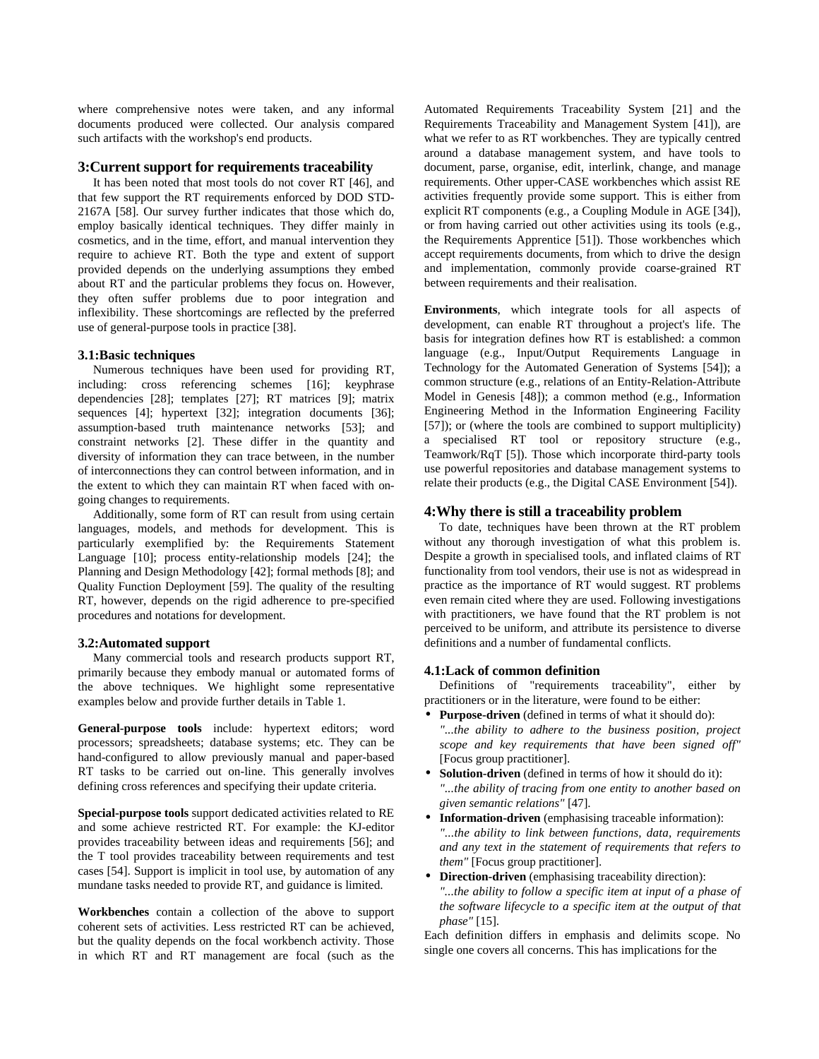where comprehensive notes were taken, and any informal documents produced were collected. Our analysis compared such artifacts with the workshop's end products.

# **3:Current support for requirements traceability**

It has been noted that most tools do not cover RT [46], and that few support the RT requirements enforced by DOD STD-2167A [58]. Our survey further indicates that those which do, employ basically identical techniques. They differ mainly in cosmetics, and in the time, effort, and manual intervention they require to achieve RT. Both the type and extent of support provided depends on the underlying assumptions they embed about RT and the particular problems they focus on. However, they often suffer problems due to poor integration and inflexibility. These shortcomings are reflected by the preferred use of general-purpose tools in practice [38].

### **3.1:Basic techniques**

Numerous techniques have been used for providing RT, including: cross referencing schemes [16]; keyphrase dependencies [28]; templates [27]; RT matrices [9]; matrix sequences [4]; hypertext [32]; integration documents [36]; assumption-based truth maintenance networks [53]; and constraint networks [2]. These differ in the quantity and diversity of information they can trace between, in the number of interconnections they can control between information, and in the extent to which they can maintain RT when faced with ongoing changes to requirements.

Additionally, some form of RT can result from using certain **4:Why there is still a traceability problem** languages, models, and methods for development. This is particularly exemplified by: the Requirements Statement Language [10]; process entity-relationship models [24]; the Planning and Design Methodology [42]; formal methods [8]; and Quality Function Deployment [59]. The quality of the resulting RT, however, depends on the rigid adherence to pre-specified procedures and notations for development.

Many commercial tools and research products support RT, primarily because they embody manual or automated forms of the above techniques. We highlight some representative examples below and provide further details in Table 1.

**General-purpose tools** include: hypertext editors; word processors; spreadsheets; database systems; etc. They can be hand-configured to allow previously manual and paper-based RT tasks to be carried out on-line. This generally involves defining cross references and specifying their update criteria.

*given semantic relations"* [47]. **Special-purpose tools** support dedicated activities related to RE and some achieve restricted RT. For example: the KJ-editor provides traceability between ideas and requirements [56]; and the T tool provides traceability between requirements and test cases [54]. Support is implicit in tool use, by automation of any mundane tasks needed to provide RT, and guidance is limited.

**Workbenches** contain a collection of the above to support coherent sets of activities. Less restricted RT can be achieved, but the quality depends on the focal workbench activity. Those in which RT and RT management are focal (such as the

Automated Requirements Traceability System [21] and the Requirements Traceability and Management System [41]), are what we refer to as RT workbenches. They are typically centred around a database management system, and have tools to document, parse, organise, edit, interlink, change, and manage requirements. Other upper-CASE workbenches which assist RE activities frequently provide some support. This is either from explicit RT components (e.g., a Coupling Module in AGE [34]), or from having carried out other activities using its tools (e.g., the Requirements Apprentice [51]). Those workbenches which accept requirements documents, from which to drive the design and implementation, commonly provide coarse-grained RT between requirements and their realisation.

**Environments**, which integrate tools for all aspects of development, can enable RT throughout a project's life. The basis for integration defines how RT is established: a common language (e.g., Input/Output Requirements Language in Technology for the Automated Generation of Systems [54]); a common structure (e.g., relations of an Entity-Relation-Attribute Model in Genesis [48]); a common method (e.g., Information Engineering Method in the Information Engineering Facility [57]); or (where the tools are combined to support multiplicity) a specialised RT tool or repository structure (e.g., Teamwork/RqT [5]). Those which incorporate third-party tools use powerful repositories and database management systems to relate their products (e.g., the Digital CASE Environment [54]).

To date, techniques have been thrown at the RT problem without any thorough investigation of what this problem is. Despite a growth in specialised tools, and inflated claims of RT functionality from tool vendors, their use is not as widespread in practice as the importance of RT would suggest. RT problems even remain cited where they are used. Following investigations with practitioners, we have found that the RT problem is not perceived to be uniform, and attribute its persistence to diverse **3.2:Automated support** definitions and a number of fundamental conflicts.

# **4.1:Lack of common definition**

Definitions of "requirements traceability", either by practitioners or in the literature, were found to be either:

- **Purpose-driven** (defined in terms of what it should do): *"...the ability to adhere to the business position, project scope and key requirements that have been signed off"* [Focus group practitioner].
- **Solution-driven** (defined in terms of how it should do it): *"...the ability of tracing from one entity to another based on*
- **Information-driven** (emphasising traceable information): *"...the ability to link between functions, data, requirements and any text in the statement of requirements that refers to them"* [Focus group practitioner].
- **Direction-driven** (emphasising traceability direction): *"...the ability to follow a specific item at input of a phase of the software lifecycle to a specific item at the output of that phase"* [15].

Each definition differs in emphasis and delimits scope. No single one covers all concerns. This has implications for the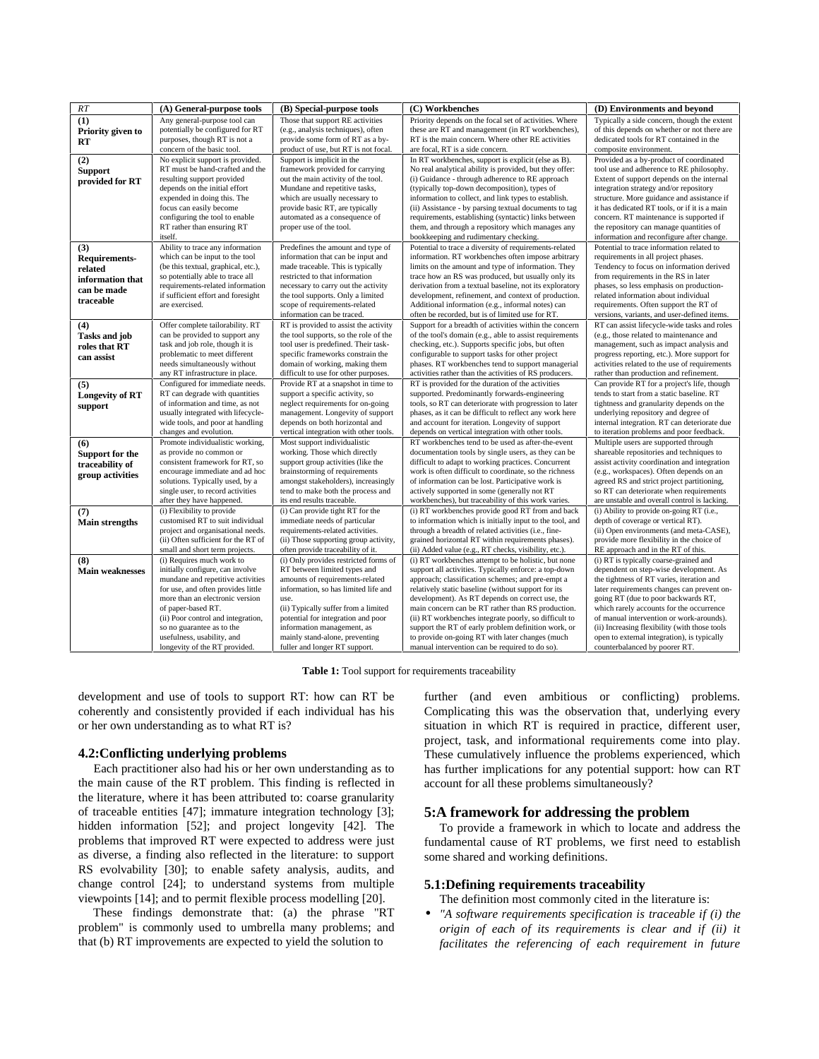| Any general-purpose tool can<br>Those that support RE activities<br>Priority depends on the focal set of activities. Where<br>Typically a side concern, though the extent<br>(1)<br>potentially be configured for RT<br>(e.g., analysis techniques), often<br>these are RT and management (in RT workbenches),<br>of this depends on whether or not there are<br>Priority given to<br>provide some form of RT as a by-<br>RT is the main concern. Where other RE activities<br>dedicated tools for RT contained in the<br>purposes, though RT is not a<br>RT<br>concern of the basic tool.<br>product of use, but RT is not focal.<br>are focal, RT is a side concern.<br>composite environment.<br>No explicit support is provided.<br>Support is implicit in the<br>In RT workbenches, support is explicit (else as B).<br>Provided as a by-product of coordinated<br>(2)<br>RT must be hand-crafted and the<br>framework provided for carrying<br>No real analytical ability is provided, but they offer:<br>tool use and adherence to RE philosophy.<br><b>Support</b><br>resulting support provided<br>out the main activity of the tool.<br>(i) Guidance - through adherence to RE approach<br>Extent of support depends on the internal<br>provided for RT<br>Mundane and repetitive tasks,<br>integration strategy and/or repository<br>depends on the initial effort<br>(typically top-down decomposition), types of<br>expended in doing this. The<br>which are usually necessary to<br>information to collect, and link types to establish.<br>structure. More guidance and assistance if<br>it has dedicated RT tools, or if it is a main<br>focus can easily become<br>provide basic RT, are typically<br>(ii) Assistance - by parsing textual documents to tag<br>configuring the tool to enable<br>automated as a consequence of<br>requirements, establishing (syntactic) links between<br>concern. RT maintenance is supported if<br>RT rather than ensuring RT<br>proper use of the tool.<br>them, and through a repository which manages any<br>the repository can manage quantities of<br>itself.<br>bookkeeping and rudimentary checking.<br>information and reconfigure after change.<br>Ability to trace any information<br>Potential to trace a diversity of requirements-related<br>Potential to trace information related to<br>Predefines the amount and type of<br>(3)<br>which can be input to the tool<br>information that can be input and<br>information. RT workbenches often impose arbitrary<br>requirements in all project phases.<br><b>Requirements-</b><br>(be this textual, graphical, etc.),<br>made traceable. This is typically<br>limits on the amount and type of information. They<br>Tendency to focus on information derived<br>related<br>so potentially able to trace all<br>restricted to that information<br>trace how an RS was produced, but usually only its<br>from requirements in the RS in later<br>information that<br>requirements-related information<br>necessary to carry out the activity<br>derivation from a textual baseline, not its exploratory<br>phases, so less emphasis on production-<br>can be made<br>if sufficient effort and foresight<br>the tool supports. Only a limited<br>development, refinement, and context of production.<br>related information about individual<br>traceable<br>are exercised.<br>Additional information (e.g., informal notes) can<br>scope of requirements-related<br>requirements. Often support the RT of<br>information can be traced.<br>often be recorded, but is of limited use for RT.<br>versions, variants, and user-defined items.<br>Offer complete tailorability. RT<br>Support for a breadth of activities within the concern<br>RT can assist lifecycle-wide tasks and roles<br>(4)<br>RT is provided to assist the activity<br>can be provided to support any<br>the tool supports, so the role of the<br>of the tool's domain (e.g., able to assist requirements<br>(e.g., those related to maintenance and<br><b>Tasks and job</b><br>task and job role, though it is<br>tool user is predefined. Their task-<br>checking, etc.). Supports specific jobs, but often<br>management, such as impact analysis and<br>roles that RT<br>problematic to meet different<br>specific frameworks constrain the<br>configurable to support tasks for other project<br>progress reporting, etc.). More support for<br>can assist<br>needs simultaneously without<br>domain of working, making them<br>phases. RT workbenches tend to support managerial<br>activities related to the use of requirements<br>any RT infrastructure in place.<br>difficult to use for other purposes.<br>activities rather than the activities of RS producers.<br>rather than production and refinement.<br>Configured for immediate needs.<br>Provide RT at a snapshot in time to<br>RT is provided for the duration of the activities<br>Can provide RT for a project's life, though<br>(5)<br>RT can degrade with quantities<br>support a specific activity, so<br>supported. Predominantly forwards-engineering<br>tends to start from a static baseline. RT<br><b>Longevity of RT</b><br>of information and time, as not<br>neglect requirements for on-going<br>tools, so RT can deteriorate with progression to later<br>tightness and granularity depends on the<br>support<br>management. Longevity of support<br>phases, as it can be difficult to reflect any work here<br>usually integrated with lifecycle-<br>underlying repository and degree of<br>wide tools, and poor at handling<br>depends on both horizontal and<br>and account for iteration. Longevity of support<br>internal integration. RT can deteriorate due |
|-------------------------------------------------------------------------------------------------------------------------------------------------------------------------------------------------------------------------------------------------------------------------------------------------------------------------------------------------------------------------------------------------------------------------------------------------------------------------------------------------------------------------------------------------------------------------------------------------------------------------------------------------------------------------------------------------------------------------------------------------------------------------------------------------------------------------------------------------------------------------------------------------------------------------------------------------------------------------------------------------------------------------------------------------------------------------------------------------------------------------------------------------------------------------------------------------------------------------------------------------------------------------------------------------------------------------------------------------------------------------------------------------------------------------------------------------------------------------------------------------------------------------------------------------------------------------------------------------------------------------------------------------------------------------------------------------------------------------------------------------------------------------------------------------------------------------------------------------------------------------------------------------------------------------------------------------------------------------------------------------------------------------------------------------------------------------------------------------------------------------------------------------------------------------------------------------------------------------------------------------------------------------------------------------------------------------------------------------------------------------------------------------------------------------------------------------------------------------------------------------------------------------------------------------------------------------------------------------------------------------------------------------------------------------------------------------------------------------------------------------------------------------------------------------------------------------------------------------------------------------------------------------------------------------------------------------------------------------------------------------------------------------------------------------------------------------------------------------------------------------------------------------------------------------------------------------------------------------------------------------------------------------------------------------------------------------------------------------------------------------------------------------------------------------------------------------------------------------------------------------------------------------------------------------------------------------------------------------------------------------------------------------------------------------------------------------------------------------------------------------------------------------------------------------------------------------------------------------------------------------------------------------------------------------------------------------------------------------------------------------------------------------------------------------------------------------------------------------------------------------------------------------------------------------------------------------------------------------------------------------------------------------------------------------------------------------------------------------------------------------------------------------------------------------------------------------------------------------------------------------------------------------------------------------------------------------------------------------------------------------------------------------------------------------------------------------------------------------------------------------------------------------------------------------------------------------------------------------------------------------------------------------------------------------------------------------------------------------------------------------------------------------------------------------------------------------------------------------------------------------------------------------------------------------------------------------------------------------------------------------------------------------------------------------------------------------------------------------------------------------------------------------------------------------------------------------------------------------------------------------------------------------------------------------------------------------------------------------------------------------------------------------------------------------------------------------------------------------------------------|
|                                                                                                                                                                                                                                                                                                                                                                                                                                                                                                                                                                                                                                                                                                                                                                                                                                                                                                                                                                                                                                                                                                                                                                                                                                                                                                                                                                                                                                                                                                                                                                                                                                                                                                                                                                                                                                                                                                                                                                                                                                                                                                                                                                                                                                                                                                                                                                                                                                                                                                                                                                                                                                                                                                                                                                                                                                                                                                                                                                                                                                                                                                                                                                                                                                                                                                                                                                                                                                                                                                                                                                                                                                                                                                                                                                                                                                                                                                                                                                                                                                                                                                                                                                                                                                                                                                                                                                                                                                                                                                                                                                                                                                                                                                                                                                                                                                                                                                                                                                                                                                                                                                                                                                                                                                                                                                                                                                                                                                                                                                                                                                                                                                                                                                                                           |
|                                                                                                                                                                                                                                                                                                                                                                                                                                                                                                                                                                                                                                                                                                                                                                                                                                                                                                                                                                                                                                                                                                                                                                                                                                                                                                                                                                                                                                                                                                                                                                                                                                                                                                                                                                                                                                                                                                                                                                                                                                                                                                                                                                                                                                                                                                                                                                                                                                                                                                                                                                                                                                                                                                                                                                                                                                                                                                                                                                                                                                                                                                                                                                                                                                                                                                                                                                                                                                                                                                                                                                                                                                                                                                                                                                                                                                                                                                                                                                                                                                                                                                                                                                                                                                                                                                                                                                                                                                                                                                                                                                                                                                                                                                                                                                                                                                                                                                                                                                                                                                                                                                                                                                                                                                                                                                                                                                                                                                                                                                                                                                                                                                                                                                                                           |
|                                                                                                                                                                                                                                                                                                                                                                                                                                                                                                                                                                                                                                                                                                                                                                                                                                                                                                                                                                                                                                                                                                                                                                                                                                                                                                                                                                                                                                                                                                                                                                                                                                                                                                                                                                                                                                                                                                                                                                                                                                                                                                                                                                                                                                                                                                                                                                                                                                                                                                                                                                                                                                                                                                                                                                                                                                                                                                                                                                                                                                                                                                                                                                                                                                                                                                                                                                                                                                                                                                                                                                                                                                                                                                                                                                                                                                                                                                                                                                                                                                                                                                                                                                                                                                                                                                                                                                                                                                                                                                                                                                                                                                                                                                                                                                                                                                                                                                                                                                                                                                                                                                                                                                                                                                                                                                                                                                                                                                                                                                                                                                                                                                                                                                                                           |
|                                                                                                                                                                                                                                                                                                                                                                                                                                                                                                                                                                                                                                                                                                                                                                                                                                                                                                                                                                                                                                                                                                                                                                                                                                                                                                                                                                                                                                                                                                                                                                                                                                                                                                                                                                                                                                                                                                                                                                                                                                                                                                                                                                                                                                                                                                                                                                                                                                                                                                                                                                                                                                                                                                                                                                                                                                                                                                                                                                                                                                                                                                                                                                                                                                                                                                                                                                                                                                                                                                                                                                                                                                                                                                                                                                                                                                                                                                                                                                                                                                                                                                                                                                                                                                                                                                                                                                                                                                                                                                                                                                                                                                                                                                                                                                                                                                                                                                                                                                                                                                                                                                                                                                                                                                                                                                                                                                                                                                                                                                                                                                                                                                                                                                                                           |
|                                                                                                                                                                                                                                                                                                                                                                                                                                                                                                                                                                                                                                                                                                                                                                                                                                                                                                                                                                                                                                                                                                                                                                                                                                                                                                                                                                                                                                                                                                                                                                                                                                                                                                                                                                                                                                                                                                                                                                                                                                                                                                                                                                                                                                                                                                                                                                                                                                                                                                                                                                                                                                                                                                                                                                                                                                                                                                                                                                                                                                                                                                                                                                                                                                                                                                                                                                                                                                                                                                                                                                                                                                                                                                                                                                                                                                                                                                                                                                                                                                                                                                                                                                                                                                                                                                                                                                                                                                                                                                                                                                                                                                                                                                                                                                                                                                                                                                                                                                                                                                                                                                                                                                                                                                                                                                                                                                                                                                                                                                                                                                                                                                                                                                                                           |
|                                                                                                                                                                                                                                                                                                                                                                                                                                                                                                                                                                                                                                                                                                                                                                                                                                                                                                                                                                                                                                                                                                                                                                                                                                                                                                                                                                                                                                                                                                                                                                                                                                                                                                                                                                                                                                                                                                                                                                                                                                                                                                                                                                                                                                                                                                                                                                                                                                                                                                                                                                                                                                                                                                                                                                                                                                                                                                                                                                                                                                                                                                                                                                                                                                                                                                                                                                                                                                                                                                                                                                                                                                                                                                                                                                                                                                                                                                                                                                                                                                                                                                                                                                                                                                                                                                                                                                                                                                                                                                                                                                                                                                                                                                                                                                                                                                                                                                                                                                                                                                                                                                                                                                                                                                                                                                                                                                                                                                                                                                                                                                                                                                                                                                                                           |
|                                                                                                                                                                                                                                                                                                                                                                                                                                                                                                                                                                                                                                                                                                                                                                                                                                                                                                                                                                                                                                                                                                                                                                                                                                                                                                                                                                                                                                                                                                                                                                                                                                                                                                                                                                                                                                                                                                                                                                                                                                                                                                                                                                                                                                                                                                                                                                                                                                                                                                                                                                                                                                                                                                                                                                                                                                                                                                                                                                                                                                                                                                                                                                                                                                                                                                                                                                                                                                                                                                                                                                                                                                                                                                                                                                                                                                                                                                                                                                                                                                                                                                                                                                                                                                                                                                                                                                                                                                                                                                                                                                                                                                                                                                                                                                                                                                                                                                                                                                                                                                                                                                                                                                                                                                                                                                                                                                                                                                                                                                                                                                                                                                                                                                                                           |
|                                                                                                                                                                                                                                                                                                                                                                                                                                                                                                                                                                                                                                                                                                                                                                                                                                                                                                                                                                                                                                                                                                                                                                                                                                                                                                                                                                                                                                                                                                                                                                                                                                                                                                                                                                                                                                                                                                                                                                                                                                                                                                                                                                                                                                                                                                                                                                                                                                                                                                                                                                                                                                                                                                                                                                                                                                                                                                                                                                                                                                                                                                                                                                                                                                                                                                                                                                                                                                                                                                                                                                                                                                                                                                                                                                                                                                                                                                                                                                                                                                                                                                                                                                                                                                                                                                                                                                                                                                                                                                                                                                                                                                                                                                                                                                                                                                                                                                                                                                                                                                                                                                                                                                                                                                                                                                                                                                                                                                                                                                                                                                                                                                                                                                                                           |
|                                                                                                                                                                                                                                                                                                                                                                                                                                                                                                                                                                                                                                                                                                                                                                                                                                                                                                                                                                                                                                                                                                                                                                                                                                                                                                                                                                                                                                                                                                                                                                                                                                                                                                                                                                                                                                                                                                                                                                                                                                                                                                                                                                                                                                                                                                                                                                                                                                                                                                                                                                                                                                                                                                                                                                                                                                                                                                                                                                                                                                                                                                                                                                                                                                                                                                                                                                                                                                                                                                                                                                                                                                                                                                                                                                                                                                                                                                                                                                                                                                                                                                                                                                                                                                                                                                                                                                                                                                                                                                                                                                                                                                                                                                                                                                                                                                                                                                                                                                                                                                                                                                                                                                                                                                                                                                                                                                                                                                                                                                                                                                                                                                                                                                                                           |
|                                                                                                                                                                                                                                                                                                                                                                                                                                                                                                                                                                                                                                                                                                                                                                                                                                                                                                                                                                                                                                                                                                                                                                                                                                                                                                                                                                                                                                                                                                                                                                                                                                                                                                                                                                                                                                                                                                                                                                                                                                                                                                                                                                                                                                                                                                                                                                                                                                                                                                                                                                                                                                                                                                                                                                                                                                                                                                                                                                                                                                                                                                                                                                                                                                                                                                                                                                                                                                                                                                                                                                                                                                                                                                                                                                                                                                                                                                                                                                                                                                                                                                                                                                                                                                                                                                                                                                                                                                                                                                                                                                                                                                                                                                                                                                                                                                                                                                                                                                                                                                                                                                                                                                                                                                                                                                                                                                                                                                                                                                                                                                                                                                                                                                                                           |
|                                                                                                                                                                                                                                                                                                                                                                                                                                                                                                                                                                                                                                                                                                                                                                                                                                                                                                                                                                                                                                                                                                                                                                                                                                                                                                                                                                                                                                                                                                                                                                                                                                                                                                                                                                                                                                                                                                                                                                                                                                                                                                                                                                                                                                                                                                                                                                                                                                                                                                                                                                                                                                                                                                                                                                                                                                                                                                                                                                                                                                                                                                                                                                                                                                                                                                                                                                                                                                                                                                                                                                                                                                                                                                                                                                                                                                                                                                                                                                                                                                                                                                                                                                                                                                                                                                                                                                                                                                                                                                                                                                                                                                                                                                                                                                                                                                                                                                                                                                                                                                                                                                                                                                                                                                                                                                                                                                                                                                                                                                                                                                                                                                                                                                                                           |
|                                                                                                                                                                                                                                                                                                                                                                                                                                                                                                                                                                                                                                                                                                                                                                                                                                                                                                                                                                                                                                                                                                                                                                                                                                                                                                                                                                                                                                                                                                                                                                                                                                                                                                                                                                                                                                                                                                                                                                                                                                                                                                                                                                                                                                                                                                                                                                                                                                                                                                                                                                                                                                                                                                                                                                                                                                                                                                                                                                                                                                                                                                                                                                                                                                                                                                                                                                                                                                                                                                                                                                                                                                                                                                                                                                                                                                                                                                                                                                                                                                                                                                                                                                                                                                                                                                                                                                                                                                                                                                                                                                                                                                                                                                                                                                                                                                                                                                                                                                                                                                                                                                                                                                                                                                                                                                                                                                                                                                                                                                                                                                                                                                                                                                                                           |
|                                                                                                                                                                                                                                                                                                                                                                                                                                                                                                                                                                                                                                                                                                                                                                                                                                                                                                                                                                                                                                                                                                                                                                                                                                                                                                                                                                                                                                                                                                                                                                                                                                                                                                                                                                                                                                                                                                                                                                                                                                                                                                                                                                                                                                                                                                                                                                                                                                                                                                                                                                                                                                                                                                                                                                                                                                                                                                                                                                                                                                                                                                                                                                                                                                                                                                                                                                                                                                                                                                                                                                                                                                                                                                                                                                                                                                                                                                                                                                                                                                                                                                                                                                                                                                                                                                                                                                                                                                                                                                                                                                                                                                                                                                                                                                                                                                                                                                                                                                                                                                                                                                                                                                                                                                                                                                                                                                                                                                                                                                                                                                                                                                                                                                                                           |
|                                                                                                                                                                                                                                                                                                                                                                                                                                                                                                                                                                                                                                                                                                                                                                                                                                                                                                                                                                                                                                                                                                                                                                                                                                                                                                                                                                                                                                                                                                                                                                                                                                                                                                                                                                                                                                                                                                                                                                                                                                                                                                                                                                                                                                                                                                                                                                                                                                                                                                                                                                                                                                                                                                                                                                                                                                                                                                                                                                                                                                                                                                                                                                                                                                                                                                                                                                                                                                                                                                                                                                                                                                                                                                                                                                                                                                                                                                                                                                                                                                                                                                                                                                                                                                                                                                                                                                                                                                                                                                                                                                                                                                                                                                                                                                                                                                                                                                                                                                                                                                                                                                                                                                                                                                                                                                                                                                                                                                                                                                                                                                                                                                                                                                                                           |
|                                                                                                                                                                                                                                                                                                                                                                                                                                                                                                                                                                                                                                                                                                                                                                                                                                                                                                                                                                                                                                                                                                                                                                                                                                                                                                                                                                                                                                                                                                                                                                                                                                                                                                                                                                                                                                                                                                                                                                                                                                                                                                                                                                                                                                                                                                                                                                                                                                                                                                                                                                                                                                                                                                                                                                                                                                                                                                                                                                                                                                                                                                                                                                                                                                                                                                                                                                                                                                                                                                                                                                                                                                                                                                                                                                                                                                                                                                                                                                                                                                                                                                                                                                                                                                                                                                                                                                                                                                                                                                                                                                                                                                                                                                                                                                                                                                                                                                                                                                                                                                                                                                                                                                                                                                                                                                                                                                                                                                                                                                                                                                                                                                                                                                                                           |
|                                                                                                                                                                                                                                                                                                                                                                                                                                                                                                                                                                                                                                                                                                                                                                                                                                                                                                                                                                                                                                                                                                                                                                                                                                                                                                                                                                                                                                                                                                                                                                                                                                                                                                                                                                                                                                                                                                                                                                                                                                                                                                                                                                                                                                                                                                                                                                                                                                                                                                                                                                                                                                                                                                                                                                                                                                                                                                                                                                                                                                                                                                                                                                                                                                                                                                                                                                                                                                                                                                                                                                                                                                                                                                                                                                                                                                                                                                                                                                                                                                                                                                                                                                                                                                                                                                                                                                                                                                                                                                                                                                                                                                                                                                                                                                                                                                                                                                                                                                                                                                                                                                                                                                                                                                                                                                                                                                                                                                                                                                                                                                                                                                                                                                                                           |
|                                                                                                                                                                                                                                                                                                                                                                                                                                                                                                                                                                                                                                                                                                                                                                                                                                                                                                                                                                                                                                                                                                                                                                                                                                                                                                                                                                                                                                                                                                                                                                                                                                                                                                                                                                                                                                                                                                                                                                                                                                                                                                                                                                                                                                                                                                                                                                                                                                                                                                                                                                                                                                                                                                                                                                                                                                                                                                                                                                                                                                                                                                                                                                                                                                                                                                                                                                                                                                                                                                                                                                                                                                                                                                                                                                                                                                                                                                                                                                                                                                                                                                                                                                                                                                                                                                                                                                                                                                                                                                                                                                                                                                                                                                                                                                                                                                                                                                                                                                                                                                                                                                                                                                                                                                                                                                                                                                                                                                                                                                                                                                                                                                                                                                                                           |
|                                                                                                                                                                                                                                                                                                                                                                                                                                                                                                                                                                                                                                                                                                                                                                                                                                                                                                                                                                                                                                                                                                                                                                                                                                                                                                                                                                                                                                                                                                                                                                                                                                                                                                                                                                                                                                                                                                                                                                                                                                                                                                                                                                                                                                                                                                                                                                                                                                                                                                                                                                                                                                                                                                                                                                                                                                                                                                                                                                                                                                                                                                                                                                                                                                                                                                                                                                                                                                                                                                                                                                                                                                                                                                                                                                                                                                                                                                                                                                                                                                                                                                                                                                                                                                                                                                                                                                                                                                                                                                                                                                                                                                                                                                                                                                                                                                                                                                                                                                                                                                                                                                                                                                                                                                                                                                                                                                                                                                                                                                                                                                                                                                                                                                                                           |
|                                                                                                                                                                                                                                                                                                                                                                                                                                                                                                                                                                                                                                                                                                                                                                                                                                                                                                                                                                                                                                                                                                                                                                                                                                                                                                                                                                                                                                                                                                                                                                                                                                                                                                                                                                                                                                                                                                                                                                                                                                                                                                                                                                                                                                                                                                                                                                                                                                                                                                                                                                                                                                                                                                                                                                                                                                                                                                                                                                                                                                                                                                                                                                                                                                                                                                                                                                                                                                                                                                                                                                                                                                                                                                                                                                                                                                                                                                                                                                                                                                                                                                                                                                                                                                                                                                                                                                                                                                                                                                                                                                                                                                                                                                                                                                                                                                                                                                                                                                                                                                                                                                                                                                                                                                                                                                                                                                                                                                                                                                                                                                                                                                                                                                                                           |
|                                                                                                                                                                                                                                                                                                                                                                                                                                                                                                                                                                                                                                                                                                                                                                                                                                                                                                                                                                                                                                                                                                                                                                                                                                                                                                                                                                                                                                                                                                                                                                                                                                                                                                                                                                                                                                                                                                                                                                                                                                                                                                                                                                                                                                                                                                                                                                                                                                                                                                                                                                                                                                                                                                                                                                                                                                                                                                                                                                                                                                                                                                                                                                                                                                                                                                                                                                                                                                                                                                                                                                                                                                                                                                                                                                                                                                                                                                                                                                                                                                                                                                                                                                                                                                                                                                                                                                                                                                                                                                                                                                                                                                                                                                                                                                                                                                                                                                                                                                                                                                                                                                                                                                                                                                                                                                                                                                                                                                                                                                                                                                                                                                                                                                                                           |
|                                                                                                                                                                                                                                                                                                                                                                                                                                                                                                                                                                                                                                                                                                                                                                                                                                                                                                                                                                                                                                                                                                                                                                                                                                                                                                                                                                                                                                                                                                                                                                                                                                                                                                                                                                                                                                                                                                                                                                                                                                                                                                                                                                                                                                                                                                                                                                                                                                                                                                                                                                                                                                                                                                                                                                                                                                                                                                                                                                                                                                                                                                                                                                                                                                                                                                                                                                                                                                                                                                                                                                                                                                                                                                                                                                                                                                                                                                                                                                                                                                                                                                                                                                                                                                                                                                                                                                                                                                                                                                                                                                                                                                                                                                                                                                                                                                                                                                                                                                                                                                                                                                                                                                                                                                                                                                                                                                                                                                                                                                                                                                                                                                                                                                                                           |
|                                                                                                                                                                                                                                                                                                                                                                                                                                                                                                                                                                                                                                                                                                                                                                                                                                                                                                                                                                                                                                                                                                                                                                                                                                                                                                                                                                                                                                                                                                                                                                                                                                                                                                                                                                                                                                                                                                                                                                                                                                                                                                                                                                                                                                                                                                                                                                                                                                                                                                                                                                                                                                                                                                                                                                                                                                                                                                                                                                                                                                                                                                                                                                                                                                                                                                                                                                                                                                                                                                                                                                                                                                                                                                                                                                                                                                                                                                                                                                                                                                                                                                                                                                                                                                                                                                                                                                                                                                                                                                                                                                                                                                                                                                                                                                                                                                                                                                                                                                                                                                                                                                                                                                                                                                                                                                                                                                                                                                                                                                                                                                                                                                                                                                                                           |
|                                                                                                                                                                                                                                                                                                                                                                                                                                                                                                                                                                                                                                                                                                                                                                                                                                                                                                                                                                                                                                                                                                                                                                                                                                                                                                                                                                                                                                                                                                                                                                                                                                                                                                                                                                                                                                                                                                                                                                                                                                                                                                                                                                                                                                                                                                                                                                                                                                                                                                                                                                                                                                                                                                                                                                                                                                                                                                                                                                                                                                                                                                                                                                                                                                                                                                                                                                                                                                                                                                                                                                                                                                                                                                                                                                                                                                                                                                                                                                                                                                                                                                                                                                                                                                                                                                                                                                                                                                                                                                                                                                                                                                                                                                                                                                                                                                                                                                                                                                                                                                                                                                                                                                                                                                                                                                                                                                                                                                                                                                                                                                                                                                                                                                                                           |
|                                                                                                                                                                                                                                                                                                                                                                                                                                                                                                                                                                                                                                                                                                                                                                                                                                                                                                                                                                                                                                                                                                                                                                                                                                                                                                                                                                                                                                                                                                                                                                                                                                                                                                                                                                                                                                                                                                                                                                                                                                                                                                                                                                                                                                                                                                                                                                                                                                                                                                                                                                                                                                                                                                                                                                                                                                                                                                                                                                                                                                                                                                                                                                                                                                                                                                                                                                                                                                                                                                                                                                                                                                                                                                                                                                                                                                                                                                                                                                                                                                                                                                                                                                                                                                                                                                                                                                                                                                                                                                                                                                                                                                                                                                                                                                                                                                                                                                                                                                                                                                                                                                                                                                                                                                                                                                                                                                                                                                                                                                                                                                                                                                                                                                                                           |
|                                                                                                                                                                                                                                                                                                                                                                                                                                                                                                                                                                                                                                                                                                                                                                                                                                                                                                                                                                                                                                                                                                                                                                                                                                                                                                                                                                                                                                                                                                                                                                                                                                                                                                                                                                                                                                                                                                                                                                                                                                                                                                                                                                                                                                                                                                                                                                                                                                                                                                                                                                                                                                                                                                                                                                                                                                                                                                                                                                                                                                                                                                                                                                                                                                                                                                                                                                                                                                                                                                                                                                                                                                                                                                                                                                                                                                                                                                                                                                                                                                                                                                                                                                                                                                                                                                                                                                                                                                                                                                                                                                                                                                                                                                                                                                                                                                                                                                                                                                                                                                                                                                                                                                                                                                                                                                                                                                                                                                                                                                                                                                                                                                                                                                                                           |
|                                                                                                                                                                                                                                                                                                                                                                                                                                                                                                                                                                                                                                                                                                                                                                                                                                                                                                                                                                                                                                                                                                                                                                                                                                                                                                                                                                                                                                                                                                                                                                                                                                                                                                                                                                                                                                                                                                                                                                                                                                                                                                                                                                                                                                                                                                                                                                                                                                                                                                                                                                                                                                                                                                                                                                                                                                                                                                                                                                                                                                                                                                                                                                                                                                                                                                                                                                                                                                                                                                                                                                                                                                                                                                                                                                                                                                                                                                                                                                                                                                                                                                                                                                                                                                                                                                                                                                                                                                                                                                                                                                                                                                                                                                                                                                                                                                                                                                                                                                                                                                                                                                                                                                                                                                                                                                                                                                                                                                                                                                                                                                                                                                                                                                                                           |
|                                                                                                                                                                                                                                                                                                                                                                                                                                                                                                                                                                                                                                                                                                                                                                                                                                                                                                                                                                                                                                                                                                                                                                                                                                                                                                                                                                                                                                                                                                                                                                                                                                                                                                                                                                                                                                                                                                                                                                                                                                                                                                                                                                                                                                                                                                                                                                                                                                                                                                                                                                                                                                                                                                                                                                                                                                                                                                                                                                                                                                                                                                                                                                                                                                                                                                                                                                                                                                                                                                                                                                                                                                                                                                                                                                                                                                                                                                                                                                                                                                                                                                                                                                                                                                                                                                                                                                                                                                                                                                                                                                                                                                                                                                                                                                                                                                                                                                                                                                                                                                                                                                                                                                                                                                                                                                                                                                                                                                                                                                                                                                                                                                                                                                                                           |
|                                                                                                                                                                                                                                                                                                                                                                                                                                                                                                                                                                                                                                                                                                                                                                                                                                                                                                                                                                                                                                                                                                                                                                                                                                                                                                                                                                                                                                                                                                                                                                                                                                                                                                                                                                                                                                                                                                                                                                                                                                                                                                                                                                                                                                                                                                                                                                                                                                                                                                                                                                                                                                                                                                                                                                                                                                                                                                                                                                                                                                                                                                                                                                                                                                                                                                                                                                                                                                                                                                                                                                                                                                                                                                                                                                                                                                                                                                                                                                                                                                                                                                                                                                                                                                                                                                                                                                                                                                                                                                                                                                                                                                                                                                                                                                                                                                                                                                                                                                                                                                                                                                                                                                                                                                                                                                                                                                                                                                                                                                                                                                                                                                                                                                                                           |
|                                                                                                                                                                                                                                                                                                                                                                                                                                                                                                                                                                                                                                                                                                                                                                                                                                                                                                                                                                                                                                                                                                                                                                                                                                                                                                                                                                                                                                                                                                                                                                                                                                                                                                                                                                                                                                                                                                                                                                                                                                                                                                                                                                                                                                                                                                                                                                                                                                                                                                                                                                                                                                                                                                                                                                                                                                                                                                                                                                                                                                                                                                                                                                                                                                                                                                                                                                                                                                                                                                                                                                                                                                                                                                                                                                                                                                                                                                                                                                                                                                                                                                                                                                                                                                                                                                                                                                                                                                                                                                                                                                                                                                                                                                                                                                                                                                                                                                                                                                                                                                                                                                                                                                                                                                                                                                                                                                                                                                                                                                                                                                                                                                                                                                                                           |
|                                                                                                                                                                                                                                                                                                                                                                                                                                                                                                                                                                                                                                                                                                                                                                                                                                                                                                                                                                                                                                                                                                                                                                                                                                                                                                                                                                                                                                                                                                                                                                                                                                                                                                                                                                                                                                                                                                                                                                                                                                                                                                                                                                                                                                                                                                                                                                                                                                                                                                                                                                                                                                                                                                                                                                                                                                                                                                                                                                                                                                                                                                                                                                                                                                                                                                                                                                                                                                                                                                                                                                                                                                                                                                                                                                                                                                                                                                                                                                                                                                                                                                                                                                                                                                                                                                                                                                                                                                                                                                                                                                                                                                                                                                                                                                                                                                                                                                                                                                                                                                                                                                                                                                                                                                                                                                                                                                                                                                                                                                                                                                                                                                                                                                                                           |
| changes and evolution.<br>vertical integration with other tools.<br>depends on vertical integration with other tools.<br>to iteration problems and poor feedback.                                                                                                                                                                                                                                                                                                                                                                                                                                                                                                                                                                                                                                                                                                                                                                                                                                                                                                                                                                                                                                                                                                                                                                                                                                                                                                                                                                                                                                                                                                                                                                                                                                                                                                                                                                                                                                                                                                                                                                                                                                                                                                                                                                                                                                                                                                                                                                                                                                                                                                                                                                                                                                                                                                                                                                                                                                                                                                                                                                                                                                                                                                                                                                                                                                                                                                                                                                                                                                                                                                                                                                                                                                                                                                                                                                                                                                                                                                                                                                                                                                                                                                                                                                                                                                                                                                                                                                                                                                                                                                                                                                                                                                                                                                                                                                                                                                                                                                                                                                                                                                                                                                                                                                                                                                                                                                                                                                                                                                                                                                                                                                         |
| Promote individualistic working,<br>Most support individualistic<br>RT workbenches tend to be used as after-the-event<br>Multiple users are supported through<br>(6)                                                                                                                                                                                                                                                                                                                                                                                                                                                                                                                                                                                                                                                                                                                                                                                                                                                                                                                                                                                                                                                                                                                                                                                                                                                                                                                                                                                                                                                                                                                                                                                                                                                                                                                                                                                                                                                                                                                                                                                                                                                                                                                                                                                                                                                                                                                                                                                                                                                                                                                                                                                                                                                                                                                                                                                                                                                                                                                                                                                                                                                                                                                                                                                                                                                                                                                                                                                                                                                                                                                                                                                                                                                                                                                                                                                                                                                                                                                                                                                                                                                                                                                                                                                                                                                                                                                                                                                                                                                                                                                                                                                                                                                                                                                                                                                                                                                                                                                                                                                                                                                                                                                                                                                                                                                                                                                                                                                                                                                                                                                                                                      |
| as provide no common or<br>working. Those which directly<br>documentation tools by single users, as they can be<br>shareable repositories and techniques to<br>Support for the                                                                                                                                                                                                                                                                                                                                                                                                                                                                                                                                                                                                                                                                                                                                                                                                                                                                                                                                                                                                                                                                                                                                                                                                                                                                                                                                                                                                                                                                                                                                                                                                                                                                                                                                                                                                                                                                                                                                                                                                                                                                                                                                                                                                                                                                                                                                                                                                                                                                                                                                                                                                                                                                                                                                                                                                                                                                                                                                                                                                                                                                                                                                                                                                                                                                                                                                                                                                                                                                                                                                                                                                                                                                                                                                                                                                                                                                                                                                                                                                                                                                                                                                                                                                                                                                                                                                                                                                                                                                                                                                                                                                                                                                                                                                                                                                                                                                                                                                                                                                                                                                                                                                                                                                                                                                                                                                                                                                                                                                                                                                                            |
| consistent framework for RT, so<br>support group activities (like the<br>difficult to adapt to working practices. Concurrent<br>assist activity coordination and integration<br>traceability of<br>encourage immediate and ad hoc<br>work is often difficult to coordinate, so the richness                                                                                                                                                                                                                                                                                                                                                                                                                                                                                                                                                                                                                                                                                                                                                                                                                                                                                                                                                                                                                                                                                                                                                                                                                                                                                                                                                                                                                                                                                                                                                                                                                                                                                                                                                                                                                                                                                                                                                                                                                                                                                                                                                                                                                                                                                                                                                                                                                                                                                                                                                                                                                                                                                                                                                                                                                                                                                                                                                                                                                                                                                                                                                                                                                                                                                                                                                                                                                                                                                                                                                                                                                                                                                                                                                                                                                                                                                                                                                                                                                                                                                                                                                                                                                                                                                                                                                                                                                                                                                                                                                                                                                                                                                                                                                                                                                                                                                                                                                                                                                                                                                                                                                                                                                                                                                                                                                                                                                                               |
| brainstorming of requirements<br>(e.g., workspaces). Often depends on an<br>group activities<br>solutions. Typically used, by a<br>amongst stakeholders), increasingly<br>agreed RS and strict project partitioning,<br>of information can be lost. Participative work is                                                                                                                                                                                                                                                                                                                                                                                                                                                                                                                                                                                                                                                                                                                                                                                                                                                                                                                                                                                                                                                                                                                                                                                                                                                                                                                                                                                                                                                                                                                                                                                                                                                                                                                                                                                                                                                                                                                                                                                                                                                                                                                                                                                                                                                                                                                                                                                                                                                                                                                                                                                                                                                                                                                                                                                                                                                                                                                                                                                                                                                                                                                                                                                                                                                                                                                                                                                                                                                                                                                                                                                                                                                                                                                                                                                                                                                                                                                                                                                                                                                                                                                                                                                                                                                                                                                                                                                                                                                                                                                                                                                                                                                                                                                                                                                                                                                                                                                                                                                                                                                                                                                                                                                                                                                                                                                                                                                                                                                                 |
| single user, to record activities<br>tend to make both the process and<br>actively supported in some (generally not RT<br>so RT can deteriorate when requirements                                                                                                                                                                                                                                                                                                                                                                                                                                                                                                                                                                                                                                                                                                                                                                                                                                                                                                                                                                                                                                                                                                                                                                                                                                                                                                                                                                                                                                                                                                                                                                                                                                                                                                                                                                                                                                                                                                                                                                                                                                                                                                                                                                                                                                                                                                                                                                                                                                                                                                                                                                                                                                                                                                                                                                                                                                                                                                                                                                                                                                                                                                                                                                                                                                                                                                                                                                                                                                                                                                                                                                                                                                                                                                                                                                                                                                                                                                                                                                                                                                                                                                                                                                                                                                                                                                                                                                                                                                                                                                                                                                                                                                                                                                                                                                                                                                                                                                                                                                                                                                                                                                                                                                                                                                                                                                                                                                                                                                                                                                                                                                         |
| its end results traceable.<br>workbenches), but traceability of this work varies.<br>are unstable and overall control is lacking.<br>after they have happened.                                                                                                                                                                                                                                                                                                                                                                                                                                                                                                                                                                                                                                                                                                                                                                                                                                                                                                                                                                                                                                                                                                                                                                                                                                                                                                                                                                                                                                                                                                                                                                                                                                                                                                                                                                                                                                                                                                                                                                                                                                                                                                                                                                                                                                                                                                                                                                                                                                                                                                                                                                                                                                                                                                                                                                                                                                                                                                                                                                                                                                                                                                                                                                                                                                                                                                                                                                                                                                                                                                                                                                                                                                                                                                                                                                                                                                                                                                                                                                                                                                                                                                                                                                                                                                                                                                                                                                                                                                                                                                                                                                                                                                                                                                                                                                                                                                                                                                                                                                                                                                                                                                                                                                                                                                                                                                                                                                                                                                                                                                                                                                            |
| (i) Flexibility to provide<br>(7)<br>(i) Can provide tight RT for the<br>(i) RT workbenches provide good RT from and back<br>(i) Ability to provide on-going RT (i.e.,                                                                                                                                                                                                                                                                                                                                                                                                                                                                                                                                                                                                                                                                                                                                                                                                                                                                                                                                                                                                                                                                                                                                                                                                                                                                                                                                                                                                                                                                                                                                                                                                                                                                                                                                                                                                                                                                                                                                                                                                                                                                                                                                                                                                                                                                                                                                                                                                                                                                                                                                                                                                                                                                                                                                                                                                                                                                                                                                                                                                                                                                                                                                                                                                                                                                                                                                                                                                                                                                                                                                                                                                                                                                                                                                                                                                                                                                                                                                                                                                                                                                                                                                                                                                                                                                                                                                                                                                                                                                                                                                                                                                                                                                                                                                                                                                                                                                                                                                                                                                                                                                                                                                                                                                                                                                                                                                                                                                                                                                                                                                                                    |
| customised RT to suit individual<br>immediate needs of particular<br>to information which is initially input to the tool, and<br>depth of coverage or vertical RT).<br><b>Main strengths</b>                                                                                                                                                                                                                                                                                                                                                                                                                                                                                                                                                                                                                                                                                                                                                                                                                                                                                                                                                                                                                                                                                                                                                                                                                                                                                                                                                                                                                                                                                                                                                                                                                                                                                                                                                                                                                                                                                                                                                                                                                                                                                                                                                                                                                                                                                                                                                                                                                                                                                                                                                                                                                                                                                                                                                                                                                                                                                                                                                                                                                                                                                                                                                                                                                                                                                                                                                                                                                                                                                                                                                                                                                                                                                                                                                                                                                                                                                                                                                                                                                                                                                                                                                                                                                                                                                                                                                                                                                                                                                                                                                                                                                                                                                                                                                                                                                                                                                                                                                                                                                                                                                                                                                                                                                                                                                                                                                                                                                                                                                                                                              |
| (ii) Open environments (and meta-CASE),<br>project and organisational needs.<br>requirements-related activities.<br>through a breadth of related activities (i.e., fine-                                                                                                                                                                                                                                                                                                                                                                                                                                                                                                                                                                                                                                                                                                                                                                                                                                                                                                                                                                                                                                                                                                                                                                                                                                                                                                                                                                                                                                                                                                                                                                                                                                                                                                                                                                                                                                                                                                                                                                                                                                                                                                                                                                                                                                                                                                                                                                                                                                                                                                                                                                                                                                                                                                                                                                                                                                                                                                                                                                                                                                                                                                                                                                                                                                                                                                                                                                                                                                                                                                                                                                                                                                                                                                                                                                                                                                                                                                                                                                                                                                                                                                                                                                                                                                                                                                                                                                                                                                                                                                                                                                                                                                                                                                                                                                                                                                                                                                                                                                                                                                                                                                                                                                                                                                                                                                                                                                                                                                                                                                                                                                  |
| (ii) Often sufficient for the RT of<br>(ii) Those supporting group activity,<br>grained horizontal RT within requirements phases).<br>provide more flexibility in the choice of                                                                                                                                                                                                                                                                                                                                                                                                                                                                                                                                                                                                                                                                                                                                                                                                                                                                                                                                                                                                                                                                                                                                                                                                                                                                                                                                                                                                                                                                                                                                                                                                                                                                                                                                                                                                                                                                                                                                                                                                                                                                                                                                                                                                                                                                                                                                                                                                                                                                                                                                                                                                                                                                                                                                                                                                                                                                                                                                                                                                                                                                                                                                                                                                                                                                                                                                                                                                                                                                                                                                                                                                                                                                                                                                                                                                                                                                                                                                                                                                                                                                                                                                                                                                                                                                                                                                                                                                                                                                                                                                                                                                                                                                                                                                                                                                                                                                                                                                                                                                                                                                                                                                                                                                                                                                                                                                                                                                                                                                                                                                                           |
| small and short term projects.<br>often provide traceability of it.<br>(ii) Added value (e.g., RT checks, visibility, etc.).<br>RE approach and in the RT of this.                                                                                                                                                                                                                                                                                                                                                                                                                                                                                                                                                                                                                                                                                                                                                                                                                                                                                                                                                                                                                                                                                                                                                                                                                                                                                                                                                                                                                                                                                                                                                                                                                                                                                                                                                                                                                                                                                                                                                                                                                                                                                                                                                                                                                                                                                                                                                                                                                                                                                                                                                                                                                                                                                                                                                                                                                                                                                                                                                                                                                                                                                                                                                                                                                                                                                                                                                                                                                                                                                                                                                                                                                                                                                                                                                                                                                                                                                                                                                                                                                                                                                                                                                                                                                                                                                                                                                                                                                                                                                                                                                                                                                                                                                                                                                                                                                                                                                                                                                                                                                                                                                                                                                                                                                                                                                                                                                                                                                                                                                                                                                                        |
| (i) Only provides restricted forms of<br>(i) RT workbenches attempt to be holistic, but none<br>(i) Requires much work to<br>(i) RT is typically coarse-grained and<br>(8)                                                                                                                                                                                                                                                                                                                                                                                                                                                                                                                                                                                                                                                                                                                                                                                                                                                                                                                                                                                                                                                                                                                                                                                                                                                                                                                                                                                                                                                                                                                                                                                                                                                                                                                                                                                                                                                                                                                                                                                                                                                                                                                                                                                                                                                                                                                                                                                                                                                                                                                                                                                                                                                                                                                                                                                                                                                                                                                                                                                                                                                                                                                                                                                                                                                                                                                                                                                                                                                                                                                                                                                                                                                                                                                                                                                                                                                                                                                                                                                                                                                                                                                                                                                                                                                                                                                                                                                                                                                                                                                                                                                                                                                                                                                                                                                                                                                                                                                                                                                                                                                                                                                                                                                                                                                                                                                                                                                                                                                                                                                                                                |
| initially configure, can involve<br>RT between limited types and<br>support all activities. Typically enforce: a top-down<br>dependent on step-wise development. As<br><b>Main weaknesses</b>                                                                                                                                                                                                                                                                                                                                                                                                                                                                                                                                                                                                                                                                                                                                                                                                                                                                                                                                                                                                                                                                                                                                                                                                                                                                                                                                                                                                                                                                                                                                                                                                                                                                                                                                                                                                                                                                                                                                                                                                                                                                                                                                                                                                                                                                                                                                                                                                                                                                                                                                                                                                                                                                                                                                                                                                                                                                                                                                                                                                                                                                                                                                                                                                                                                                                                                                                                                                                                                                                                                                                                                                                                                                                                                                                                                                                                                                                                                                                                                                                                                                                                                                                                                                                                                                                                                                                                                                                                                                                                                                                                                                                                                                                                                                                                                                                                                                                                                                                                                                                                                                                                                                                                                                                                                                                                                                                                                                                                                                                                                                             |
| mundane and repetitive activities<br>amounts of requirements-related<br>approach; classification schemes; and pre-empt a<br>the tightness of RT varies, iteration and                                                                                                                                                                                                                                                                                                                                                                                                                                                                                                                                                                                                                                                                                                                                                                                                                                                                                                                                                                                                                                                                                                                                                                                                                                                                                                                                                                                                                                                                                                                                                                                                                                                                                                                                                                                                                                                                                                                                                                                                                                                                                                                                                                                                                                                                                                                                                                                                                                                                                                                                                                                                                                                                                                                                                                                                                                                                                                                                                                                                                                                                                                                                                                                                                                                                                                                                                                                                                                                                                                                                                                                                                                                                                                                                                                                                                                                                                                                                                                                                                                                                                                                                                                                                                                                                                                                                                                                                                                                                                                                                                                                                                                                                                                                                                                                                                                                                                                                                                                                                                                                                                                                                                                                                                                                                                                                                                                                                                                                                                                                                                                     |
| information, so has limited life and<br>for use, and often provides little<br>relatively static baseline (without support for its<br>later requirements changes can prevent on-                                                                                                                                                                                                                                                                                                                                                                                                                                                                                                                                                                                                                                                                                                                                                                                                                                                                                                                                                                                                                                                                                                                                                                                                                                                                                                                                                                                                                                                                                                                                                                                                                                                                                                                                                                                                                                                                                                                                                                                                                                                                                                                                                                                                                                                                                                                                                                                                                                                                                                                                                                                                                                                                                                                                                                                                                                                                                                                                                                                                                                                                                                                                                                                                                                                                                                                                                                                                                                                                                                                                                                                                                                                                                                                                                                                                                                                                                                                                                                                                                                                                                                                                                                                                                                                                                                                                                                                                                                                                                                                                                                                                                                                                                                                                                                                                                                                                                                                                                                                                                                                                                                                                                                                                                                                                                                                                                                                                                                                                                                                                                           |
| more than an electronic version<br>development). As RT depends on correct use, the<br>going RT (due to poor backwards RT,<br>use.                                                                                                                                                                                                                                                                                                                                                                                                                                                                                                                                                                                                                                                                                                                                                                                                                                                                                                                                                                                                                                                                                                                                                                                                                                                                                                                                                                                                                                                                                                                                                                                                                                                                                                                                                                                                                                                                                                                                                                                                                                                                                                                                                                                                                                                                                                                                                                                                                                                                                                                                                                                                                                                                                                                                                                                                                                                                                                                                                                                                                                                                                                                                                                                                                                                                                                                                                                                                                                                                                                                                                                                                                                                                                                                                                                                                                                                                                                                                                                                                                                                                                                                                                                                                                                                                                                                                                                                                                                                                                                                                                                                                                                                                                                                                                                                                                                                                                                                                                                                                                                                                                                                                                                                                                                                                                                                                                                                                                                                                                                                                                                                                         |
| of paper-based RT.<br>(ii) Typically suffer from a limited<br>main concern can be RT rather than RS production.<br>which rarely accounts for the occurrence<br>(ii) Poor control and integration,<br>potential for integration and poor<br>(ii) RT workbenches integrate poorly, so difficult to<br>of manual intervention or work-arounds).                                                                                                                                                                                                                                                                                                                                                                                                                                                                                                                                                                                                                                                                                                                                                                                                                                                                                                                                                                                                                                                                                                                                                                                                                                                                                                                                                                                                                                                                                                                                                                                                                                                                                                                                                                                                                                                                                                                                                                                                                                                                                                                                                                                                                                                                                                                                                                                                                                                                                                                                                                                                                                                                                                                                                                                                                                                                                                                                                                                                                                                                                                                                                                                                                                                                                                                                                                                                                                                                                                                                                                                                                                                                                                                                                                                                                                                                                                                                                                                                                                                                                                                                                                                                                                                                                                                                                                                                                                                                                                                                                                                                                                                                                                                                                                                                                                                                                                                                                                                                                                                                                                                                                                                                                                                                                                                                                                                              |
| so no guarantee as to the<br>information management, as<br>support the RT of early problem definition work, or<br>(ii) Increasing flexibility (with those tools                                                                                                                                                                                                                                                                                                                                                                                                                                                                                                                                                                                                                                                                                                                                                                                                                                                                                                                                                                                                                                                                                                                                                                                                                                                                                                                                                                                                                                                                                                                                                                                                                                                                                                                                                                                                                                                                                                                                                                                                                                                                                                                                                                                                                                                                                                                                                                                                                                                                                                                                                                                                                                                                                                                                                                                                                                                                                                                                                                                                                                                                                                                                                                                                                                                                                                                                                                                                                                                                                                                                                                                                                                                                                                                                                                                                                                                                                                                                                                                                                                                                                                                                                                                                                                                                                                                                                                                                                                                                                                                                                                                                                                                                                                                                                                                                                                                                                                                                                                                                                                                                                                                                                                                                                                                                                                                                                                                                                                                                                                                                                                           |
| usefulness, usability, and<br>mainly stand-alone, preventing<br>to provide on-going RT with later changes (much<br>open to external integration), is typically                                                                                                                                                                                                                                                                                                                                                                                                                                                                                                                                                                                                                                                                                                                                                                                                                                                                                                                                                                                                                                                                                                                                                                                                                                                                                                                                                                                                                                                                                                                                                                                                                                                                                                                                                                                                                                                                                                                                                                                                                                                                                                                                                                                                                                                                                                                                                                                                                                                                                                                                                                                                                                                                                                                                                                                                                                                                                                                                                                                                                                                                                                                                                                                                                                                                                                                                                                                                                                                                                                                                                                                                                                                                                                                                                                                                                                                                                                                                                                                                                                                                                                                                                                                                                                                                                                                                                                                                                                                                                                                                                                                                                                                                                                                                                                                                                                                                                                                                                                                                                                                                                                                                                                                                                                                                                                                                                                                                                                                                                                                                                                            |
| longevity of the RT provided.<br>counterbalanced by poorer RT.<br>fuller and longer RT support.<br>manual intervention can be required to do so).                                                                                                                                                                                                                                                                                                                                                                                                                                                                                                                                                                                                                                                                                                                                                                                                                                                                                                                                                                                                                                                                                                                                                                                                                                                                                                                                                                                                                                                                                                                                                                                                                                                                                                                                                                                                                                                                                                                                                                                                                                                                                                                                                                                                                                                                                                                                                                                                                                                                                                                                                                                                                                                                                                                                                                                                                                                                                                                                                                                                                                                                                                                                                                                                                                                                                                                                                                                                                                                                                                                                                                                                                                                                                                                                                                                                                                                                                                                                                                                                                                                                                                                                                                                                                                                                                                                                                                                                                                                                                                                                                                                                                                                                                                                                                                                                                                                                                                                                                                                                                                                                                                                                                                                                                                                                                                                                                                                                                                                                                                                                                                                         |

**Table 1:** Tool support for requirements traceability

development and use of tools to support RT: how can RT be coherently and consistently provided if each individual has his or her own understanding as to what RT is?

### **4.2:Conflicting underlying problems**

Each practitioner also had his or her own understanding as to the main cause of the RT problem. This finding is reflected in the literature, where it has been attributed to: coarse granularity of traceable entities [47]; immature integration technology [3]; hidden information [52]; and project longevity [42]. The problems that improved RT were expected to address were just as diverse, a finding also reflected in the literature: to support RS evolvability [30]; to enable safety analysis, audits, and change control [24]; to understand systems from multiple viewpoints [14]; and to permit flexible process modelling [20].

These findings demonstrate that: (a) the phrase "RT problem" is commonly used to umbrella many problems; and that (b) RT improvements are expected to yield the solution to

further (and even ambitious or conflicting) problems. Complicating this was the observation that, underlying every situation in which RT is required in practice, different user, project, task, and informational requirements come into play. These cumulatively influence the problems experienced, which has further implications for any potential support: how can RT account for all these problems simultaneously?

# **5:A framework for addressing the problem**

To provide a framework in which to locate and address the fundamental cause of RT problems, we first need to establish some shared and working definitions.

### **5.1:Defining requirements traceability**

The definition most commonly cited in the literature is:

• *"A software requirements specification is traceable if (i) the origin of each of its requirements is clear and if (ii) it facilitates the referencing of each requirement in future*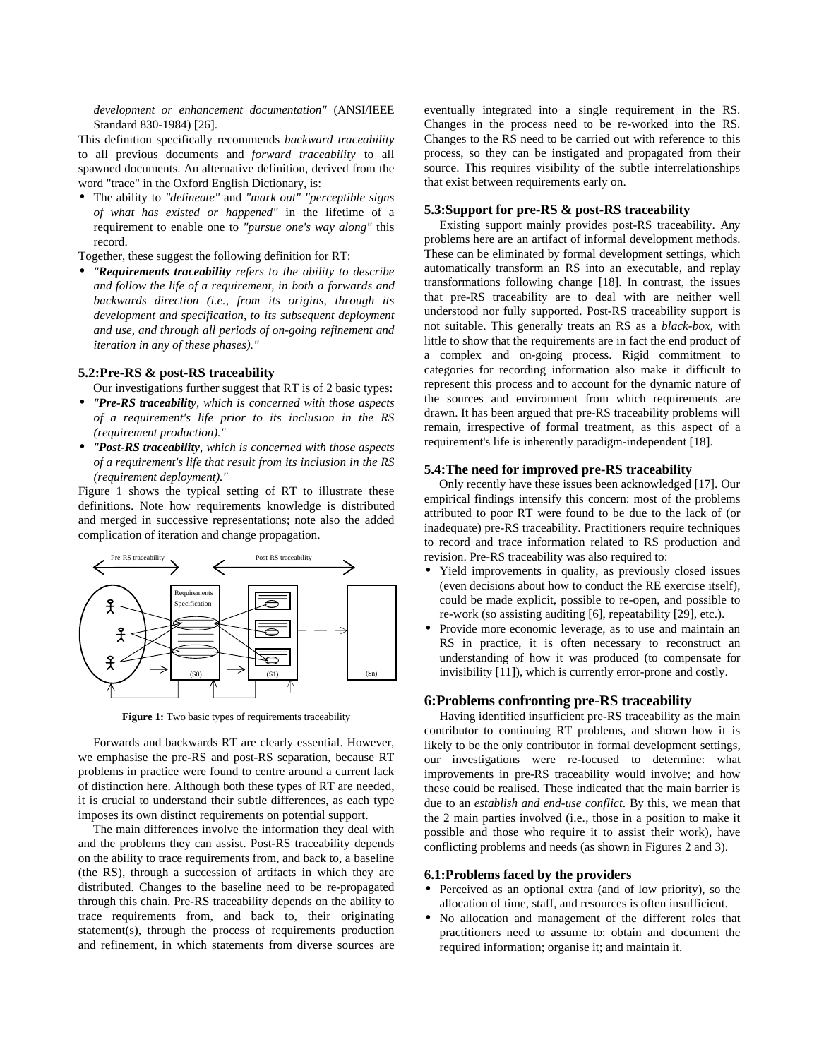*development or enhancement documentation"* (ANSI/IEEE Standard 830-1984) [26].

This definition specifically recommends *backward traceability* to all previous documents and *forward traceability* to all spawned documents. An alternative definition, derived from the word "trace" in the Oxford English Dictionary, is:

• The ability to *"delineate"* and *"mark out" "perceptible signs of what has existed or happened"* in the lifetime of a requirement to enable one to *"pursue one's way along"* this record.

Together, these suggest the following definition for RT:

• *"Requirements traceability refers to the ability to describe and follow the life of a requirement, in both a forwards and backwards direction (i.e., from its origins, through its development and specification, to its subsequent deployment and use, and through all periods of on-going refinement and iteration in any of these phases)."*

### **5.2:Pre-RS & post-RS traceability**

Our investigations further suggest that RT is of 2 basic types:

- *"Pre-RS traceability, which is concerned with those aspects of a requirement's life prior to its inclusion in the RS (requirement production)."*
- *"Post-RS traceability, which is concerned with those aspects of a requirement's life that result from its inclusion in the RS (requirement deployment)."* **5.4:The need for improved pre-RS traceability**

Figure 1 shows the typical setting of RT to illustrate these definitions. Note how requirements knowledge is distributed and merged in successive representations; note also the added complication of iteration and change propagation.



**Figure 1:** Two basic types of requirements traceability

Forwards and backwards RT are clearly essential. However, we emphasise the pre-RS and post-RS separation, because RT problems in practice were found to centre around a current lack of distinction here. Although both these types of RT are needed, it is crucial to understand their subtle differences, as each type imposes its own distinct requirements on potential support.

The main differences involve the information they deal with and the problems they can assist. Post-RS traceability depends on the ability to trace requirements from, and back to, a baseline (the RS), through a succession of artifacts in which they are distributed. Changes to the baseline need to be re-propagated through this chain. Pre-RS traceability depends on the ability to trace requirements from, and back to, their originating statement(s), through the process of requirements production and refinement, in which statements from diverse sources are eventually integrated into a single requirement in the RS. Changes in the process need to be re-worked into the RS. Changes to the RS need to be carried out with reference to this process, so they can be instigated and propagated from their source. This requires visibility of the subtle interrelationships that exist between requirements early on.

# **5.3:Support for pre-RS & post-RS traceability**

Existing support mainly provides post-RS traceability. Any problems here are an artifact of informal development methods. These can be eliminated by formal development settings, which automatically transform an RS into an executable, and replay transformations following change [18]. In contrast, the issues that pre-RS traceability are to deal with are neither well understood nor fully supported. Post-RS traceability support is not suitable. This generally treats an RS as a *black-box*, with little to show that the requirements are in fact the end product of a complex and on-going process. Rigid commitment to categories for recording information also make it difficult to represent this process and to account for the dynamic nature of the sources and environment from which requirements are drawn. It has been argued that pre-RS traceability problems will remain, irrespective of formal treatment, as this aspect of a requirement's life is inherently paradigm-independent [18].

Only recently have these issues been acknowledged [17]. Our empirical findings intensify this concern: most of the problems attributed to poor RT were found to be due to the lack of (or inadequate) pre-RS traceability. Practitioners require techniques to record and trace information related to RS production and revision. Pre-RS traceability was also required to:

- Yield improvements in quality, as previously closed issues (even decisions about how to conduct the RE exercise itself), could be made explicit, possible to re-open, and possible to re-work (so assisting auditing [6], repeatability [29], etc.).
- Provide more economic leverage, as to use and maintain an RS in practice, it is often necessary to reconstruct an understanding of how it was produced (to compensate for invisibility [11]), which is currently error-prone and costly.

# **6:Problems confronting pre-RS traceability**

Having identified insufficient pre-RS traceability as the main contributor to continuing RT problems, and shown how it is likely to be the only contributor in formal development settings, our investigations were re-focused to determine: what improvements in pre-RS traceability would involve; and how these could be realised. These indicated that the main barrier is due to an *establish and end-use conflict*. By this, we mean that the 2 main parties involved (i.e., those in a position to make it possible and those who require it to assist their work), have conflicting problems and needs (as shown in Figures 2 and 3).

### **6.1:Problems faced by the providers**

- Perceived as an optional extra (and of low priority), so the allocation of time, staff, and resources is often insufficient.
- No allocation and management of the different roles that practitioners need to assume to: obtain and document the required information; organise it; and maintain it.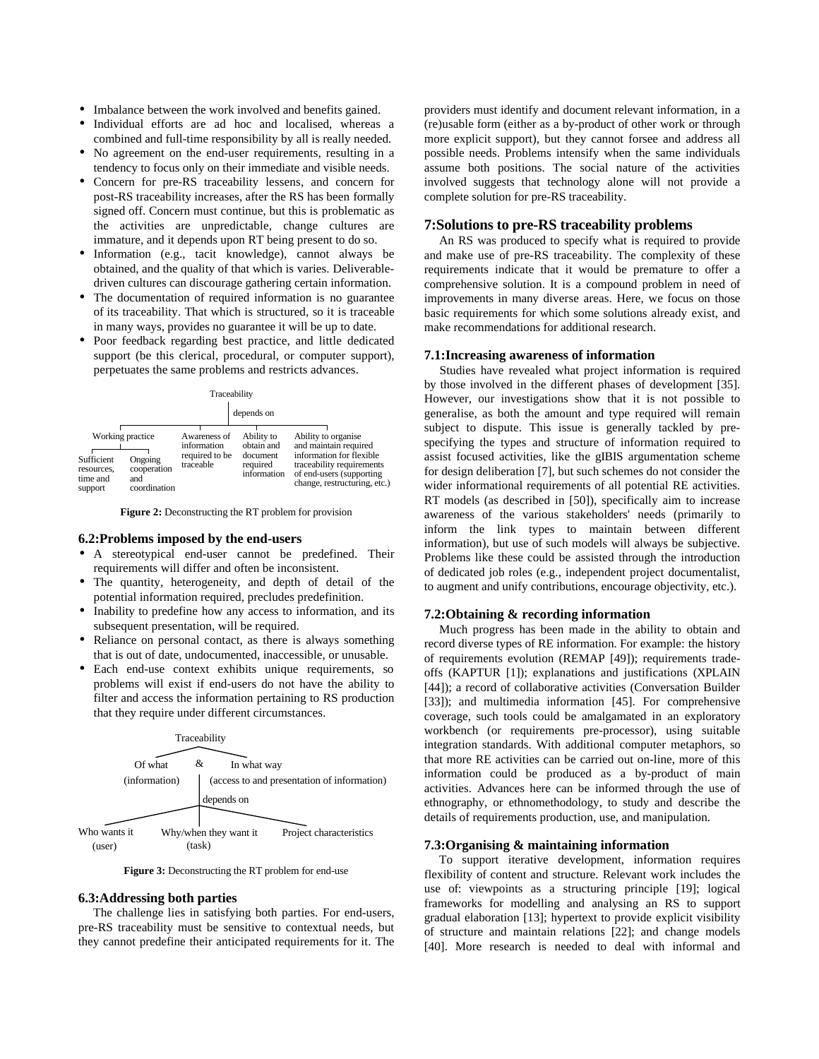- 
- Individual efforts are ad hoc and localised, whereas a combined and full-time responsibility by all is really needed.
- No agreement on the end-user requirements, resulting in a tendency to focus only on their immediate and visible needs.
- Concern for pre-RS traceability lessens, and concern for post-RS traceability increases, after the RS has been formally signed off. Concern must continue, but this is problematic as the activities are unpredictable, change cultures are immature, and it depends upon RT being present to do so.
- Information (e.g., tacit knowledge), cannot always be obtained, and the quality of that which is varies. Deliverabledriven cultures can discourage gathering certain information.
- The documentation of required information is no guarantee of its traceability. That which is structured, so it is traceable in many ways, provides no guarantee it will be up to date.
- Poor feedback regarding best practice, and little dedicated support (be this clerical, procedural, or computer support), perpetuates the same problems and restricts advances.

| Traceability                                                               |                                        |                                                            |                                                                 |                                                                                                                                                                   |  |
|----------------------------------------------------------------------------|----------------------------------------|------------------------------------------------------------|-----------------------------------------------------------------|-------------------------------------------------------------------------------------------------------------------------------------------------------------------|--|
|                                                                            |                                        |                                                            | depends on                                                      |                                                                                                                                                                   |  |
| Working practice<br>Sufficient<br>resources,<br>time and<br>and<br>support | Ongoing<br>cooperation<br>coordination | Awareness of<br>information<br>required to be<br>traceable | Ability to<br>obtain and<br>document<br>required<br>information | Ability to organise<br>and maintain required<br>information for flexible<br>traceability requirements<br>of end-users (supporting<br>change, restructuring, etc.) |  |

**Figure 2:** Deconstructing the RT problem for provision

# **6.2:Problems imposed by the end-users**

- A stereotypical end-user cannot be predefined. Their requirements will differ and often be inconsistent.
- The quantity, heterogeneity, and depth of detail of the potential information required, precludes predefinition.
- Inability to predefine how any access to information, and its Inability to predefine how any access to information, and its **7.2:Obtaining & recording information**<br>Subsequent presentation, will be required.
- Reliance on personal contact, as there is always something that is out of date, undocumented, inaccessible, or unusable.
- Each end-use context exhibits unique requirements, so problems will exist if end-users do not have the ability to filter and access the information pertaining to RS production that they require under different circumstances.



**Figure 3:** Deconstructing the RT problem for end-use

# **6.3:Addressing both parties**

The challenge lies in satisfying both parties. For end-users, pre-RS traceability must be sensitive to contextual needs, but they cannot predefine their anticipated requirements for it. The

• Imbalance between the work involved and benefits gained. providers must identify and document relevant information, in a (re)usable form (either as a by-product of other work or through more explicit support), but they cannot forsee and address all possible needs. Problems intensify when the same individuals assume both positions. The social nature of the activities involved suggests that technology alone will not provide a complete solution for pre-RS traceability.

### **7:Solutions to pre-RS traceability problems**

An RS was produced to specify what is required to provide and make use of pre-RS traceability. The complexity of these requirements indicate that it would be premature to offer a comprehensive solution. It is a compound problem in need of improvements in many diverse areas. Here, we focus on those basic requirements for which some solutions already exist, and make recommendations for additional research.

# **7.1:Increasing awareness of information**

Studies have revealed what project information is required by those involved in the different phases of development [35]. However, our investigations show that it is not possible to generalise, as both the amount and type required will remain subject to dispute. This issue is generally tackled by prespecifying the types and structure of information required to assist focused activities, like the gIBIS argumentation scheme for design deliberation [7], but such schemes do not consider the wider informational requirements of all potential RE activities. RT models (as described in [50]), specifically aim to increase awareness of the various stakeholders' needs (primarily to inform the link types to maintain between different information), but use of such models will always be subjective. Problems like these could be assisted through the introduction of dedicated job roles (e.g., independent project documentalist, to augment and unify contributions, encourage objectivity, etc.).

Much progress has been made in the ability to obtain and record diverse types of RE information. For example: the history of requirements evolution (REMAP [49]); requirements tradeoffs (KAPTUR [1]); explanations and justifications (XPLAIN [44]); a record of collaborative activities (Conversation Builder [33]); and multimedia information [45]. For comprehensive coverage, such tools could be amalgamated in an exploratory workbench (or requirements pre-processor), using suitable integration standards. With additional computer metaphors, so that more RE activities can be carried out on-line, more of this information could be produced as a by-product of main activities. Advances here can be informed through the use of ethnography, or ethnomethodology, to study and describe the details of requirements production, use, and manipulation.

# **7.3:Organising & maintaining information**

To support iterative development, information requires flexibility of content and structure. Relevant work includes the use of: viewpoints as a structuring principle [19]; logical frameworks for modelling and analysing an RS to support gradual elaboration [13]; hypertext to provide explicit visibility of structure and maintain relations [22]; and change models [40]. More research is needed to deal with informal and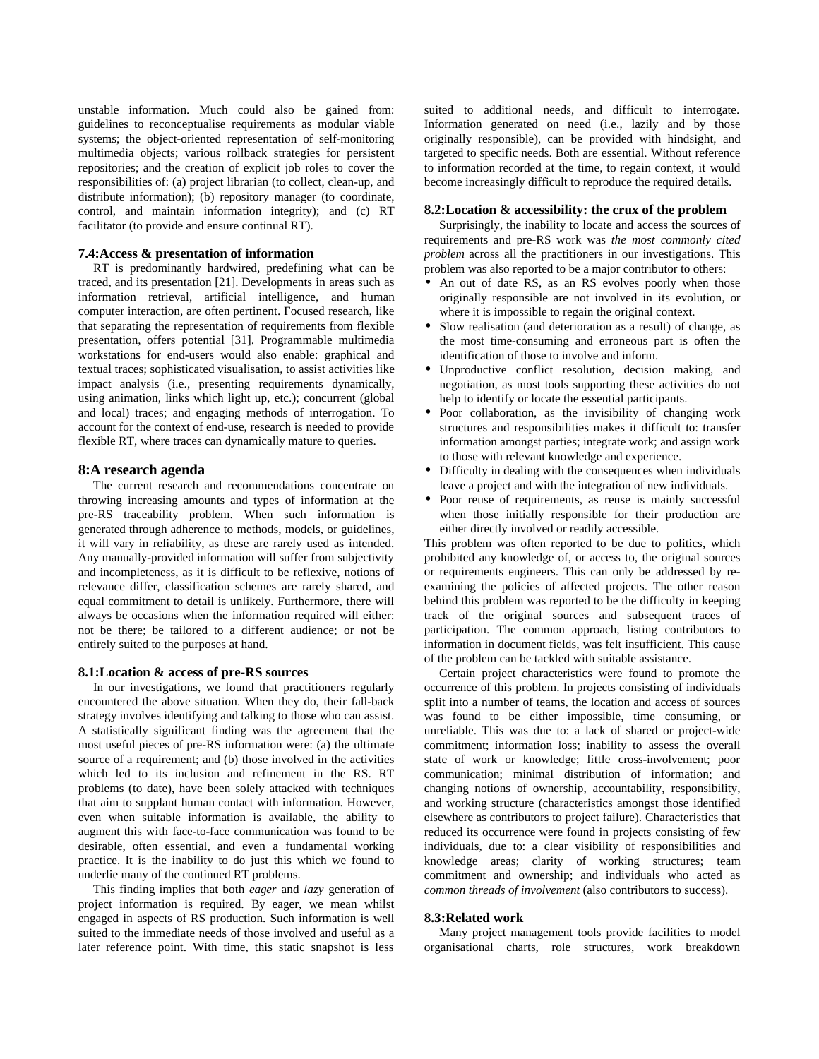unstable information. Much could also be gained from: guidelines to reconceptualise requirements as modular viable systems; the object-oriented representation of self-monitoring multimedia objects; various rollback strategies for persistent repositories; and the creation of explicit job roles to cover the responsibilities of: (a) project librarian (to collect, clean-up, and distribute information); (b) repository manager (to coordinate, control, and maintain information integrity); and (c) RT facilitator (to provide and ensure continual RT).

# **7.4:Access & presentation of information**

RT is predominantly hardwired, predefining what can be traced, and its presentation [21]. Developments in areas such as information retrieval, artificial intelligence, and human computer interaction, are often pertinent. Focused research, like that separating the representation of requirements from flexible presentation, offers potential [31]. Programmable multimedia workstations for end-users would also enable: graphical and textual traces; sophisticated visualisation, to assist activities like impact analysis (i.e., presenting requirements dynamically, using animation, links which light up, etc.); concurrent (global and local) traces; and engaging methods of interrogation. To account for the context of end-use, research is needed to provide flexible RT, where traces can dynamically mature to queries.

The current research and recommendations concentrate on throwing increasing amounts and types of information at the pre-RS traceability problem. When such information is generated through adherence to methods, models, or guidelines, it will vary in reliability, as these are rarely used as intended. Any manually-provided information will suffer from subjectivity and incompleteness, as it is difficult to be reflexive, notions of relevance differ, classification schemes are rarely shared, and equal commitment to detail is unlikely. Furthermore, there will always be occasions when the information required will either: not be there; be tailored to a different audience; or not be entirely suited to the purposes at hand.

In our investigations, we found that practitioners regularly encountered the above situation. When they do, their fall-back strategy involves identifying and talking to those who can assist. A statistically significant finding was the agreement that the most useful pieces of pre-RS information were: (a) the ultimate source of a requirement; and (b) those involved in the activities which led to its inclusion and refinement in the RS. RT problems (to date), have been solely attacked with techniques that aim to supplant human contact with information. However, even when suitable information is available, the ability to augment this with face-to-face communication was found to be desirable, often essential, and even a fundamental working practice. It is the inability to do just this which we found to underlie many of the continued RT problems.

This finding implies that both *eager* and *lazy* generation of project information is required. By eager, we mean whilst engaged in aspects of RS production. Such information is well suited to the immediate needs of those involved and useful as a later reference point. With time, this static snapshot is less

suited to additional needs, and difficult to interrogate. Information generated on need (i.e., lazily and by those originally responsible), can be provided with hindsight, and targeted to specific needs. Both are essential. Without reference to information recorded at the time, to regain context, it would become increasingly difficult to reproduce the required details.

### **8.2:Location & accessibility: the crux of the problem**

Surprisingly, the inability to locate and access the sources of requirements and pre-RS work was *the most commonly cited problem* across all the practitioners in our investigations. This problem was also reported to be a major contributor to others:

- An out of date RS, as an RS evolves poorly when those originally responsible are not involved in its evolution, or where it is impossible to regain the original context.
- Slow realisation (and deterioration as a result) of change, as the most time-consuming and erroneous part is often the identification of those to involve and inform.
- Unproductive conflict resolution, decision making, and negotiation, as most tools supporting these activities do not help to identify or locate the essential participants.
- Poor collaboration, as the invisibility of changing work structures and responsibilities makes it difficult to: transfer information amongst parties; integrate work; and assign work to those with relevant knowledge and experience.
- **8:A research agenda** Difficulty in dealing with the consequences when individuals The current research and recommendations concentrate on **•** Difficulty in dealing with the integration of new individuals.
	- Poor reuse of requirements, as reuse is mainly successful when those initially responsible for their production are either directly involved or readily accessible.

This problem was often reported to be due to politics, which prohibited any knowledge of, or access to, the original sources or requirements engineers. This can only be addressed by reexamining the policies of affected projects. The other reason behind this problem was reported to be the difficulty in keeping track of the original sources and subsequent traces of participation. The common approach, listing contributors to information in document fields, was felt insufficient. This cause of the problem can be tackled with suitable assistance.

**8.1:Location & access of pre-RS sources** Certain project characteristics were found to promote the occurrence of this problem. In projects consisting of individuals split into a number of teams, the location and access of sources was found to be either impossible, time consuming, or unreliable. This was due to: a lack of shared or project-wide commitment; information loss; inability to assess the overall state of work or knowledge; little cross-involvement; poor communication; minimal distribution of information; and changing notions of ownership, accountability, responsibility, and working structure (characteristics amongst those identified elsewhere as contributors to project failure). Characteristics that reduced its occurrence were found in projects consisting of few individuals, due to: a clear visibility of responsibilities and knowledge areas; clarity of working structures; team commitment and ownership; and individuals who acted as *common threads of involvement* (also contributors to success).

### **8.3:Related work**

Many project management tools provide facilities to model organisational charts, role structures, work breakdown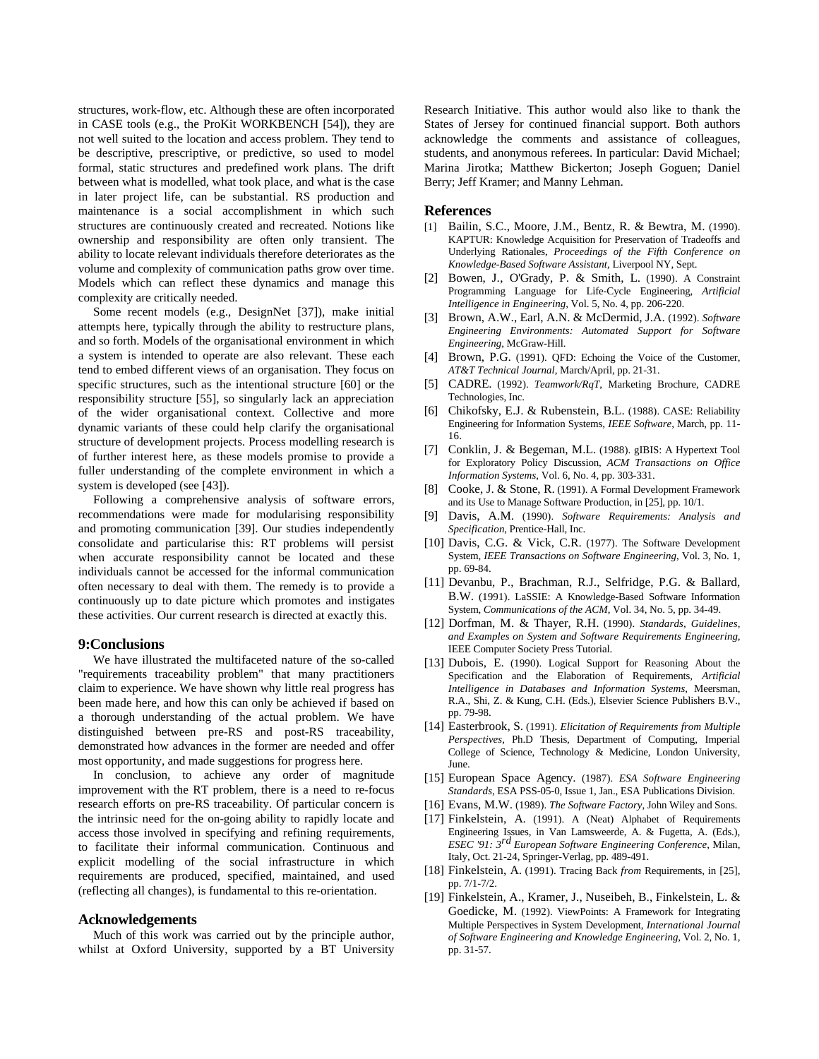structures, work-flow, etc. Although these are often incorporated in CASE tools (e.g., the ProKit WORKBENCH [54]), they are not well suited to the location and access problem. They tend to be descriptive, prescriptive, or predictive, so used to model formal, static structures and predefined work plans. The drift between what is modelled, what took place, and what is the case in later project life, can be substantial. RS production and maintenance is a social accomplishment in which such structures are continuously created and recreated. Notions like ownership and responsibility are often only transient. The ability to locate relevant individuals therefore deteriorates as the volume and complexity of communication paths grow over time. Models which can reflect these dynamics and manage this complexity are critically needed.

*Intelligence in Engineering*, Vol. 5, No. 4, pp. 206-220.<br>
Some recent models (e.g., DesignNet [37]), make initial and a subsequent of My Forl, A N, & McDermid J.A. (100 attempts here, typically through the ability to restructure plans, and so forth. Models of the organisational environment in which a system is intended to operate are also relevant. These each tend to embed different views of an organisation. They focus on specific structures, such as the intentional structure [60] or the responsibility structure [55], so singularly lack an appreciation of the wider organisational context. Collective and more dynamic variants of these could help clarify the organisational structure of development projects. Process modelling research is of further interest here, as these models promise to provide a fuller understanding of the complete environment in which a system is developed (see [43]).

recommendations were made for modularising responsibility and promoting communication [39]. Our studies independently consolidate and particularise this: RT problems will persist when accurate responsibility cannot be located and these individuals cannot be accessed for the informal communication often necessary to deal with them. The remedy is to provide a continuously up to date picture which promotes and instigates these activities. Our current research is directed at exactly this.

We have illustrated the multifaceted nature of the so-called "requirements traceability problem" that many practitioners claim to experience. We have shown why little real progress has been made here, and how this can only be achieved if based on a thorough understanding of the actual problem. We have distinguished between pre-RS and post-RS traceability, demonstrated how advances in the former are needed and offer most opportunity, and made suggestions for progress here.

In conclusion, to achieve any order of magnitude improvement with the RT problem, there is a need to re-focus research efforts on pre-RS traceability. Of particular concern is the intrinsic need for the on-going ability to rapidly locate and access those involved in specifying and refining requirements, to facilitate their informal communication. Continuous and explicit modelling of the social infrastructure in which requirements are produced, specified, maintained, and used (reflecting all changes), is fundamental to this re-orientation.

### **Acknowledgements**

Much of this work was carried out by the principle author, whilst at Oxford University, supported by a BT University

Research Initiative. This author would also like to thank the States of Jersey for continued financial support. Both authors acknowledge the comments and assistance of colleagues, students, and anonymous referees. In particular: David Michael; Marina Jirotka; Matthew Bickerton; Joseph Goguen; Daniel Berry; Jeff Kramer; and Manny Lehman.

### **References**

- [1] Bailin, S.C., Moore, J.M., Bentz, R. & Bewtra, M. (1990). KAPTUR: Knowledge Acquisition for Preservation of Tradeoffs and Underlying Rationales, *Proceedings of the Fifth Conference on Knowledge-Based Software Assistant,* Liverpool NY, Sept.
- [2] Bowen, J., O'Grady, P. & Smith, L. (1990). A Constraint Programming Language for Life-Cycle Engineering, *Artificial*
- [3] Brown, A.W., Earl, A.N. & McDermid, J.A. (1992). *Software Engineering Environments: Automated Support for Software Engineering*, McGraw-Hill.
- [4] Brown, P.G. (1991). QFD: Echoing the Voice of the Customer, *AT&T Technical Journal*, March/April, pp. 21-31.
- [5] CADRE. (1992). *Teamwork/RqT*, Marketing Brochure, CADRE Technologies, Inc.
- [6] Chikofsky, E.J. & Rubenstein, B.L. (1988). CASE: Reliability Engineering for Information Systems, *IEEE Software*, March, pp. 11- 16.
- [7] Conklin, J. & Begeman, M.L. (1988). gIBIS: A Hypertext Tool for Exploratory Policy Discussion, *ACM Transactions on Office Information Systems*, Vol. 6, No. 4, pp. 303-331.
- [8] Cooke, J. & Stone, R. (1991). A Formal Development Framework Following a comprehensive analysis of software errors, and its Use to Manage Software Production, in [25], pp. 10/1.
	- [9] Davis, A.M. (1990). *Software Requirements: Analysis and Specification*, Prentice-Hall, Inc.
	- [10] Davis, C.G. & Vick, C.R. (1977). The Software Development System, *IEEE Transactions on Software Engineering*, Vol. 3, No. 1, pp. 69-84.
	- [11] Devanbu, P., Brachman, R.J., Selfridge, P.G. & Ballard, B.W. (1991). LaSSIE: A Knowledge-Based Software Information System, *Communications of the ACM*, Vol. 34, No. 5, pp. 34-49.
- [12] Dorfman, M. & Thayer, R.H. (1990). *Standards, Guidelines,* **9: Conclusions and Examples on System and Software Requirements Engineering, 9:** Conclusions **IEEE** Computer Society Press Tutorial.
	- [13] Dubois, E. (1990). Logical Support for Reasoning About the Specification and the Elaboration of Requirements, *Artificial Intelligence in Databases and Information Systems*, Meersman, R.A., Shi, Z. & Kung, C.H. (Eds.), Elsevier Science Publishers B.V., pp. 79-98.
	- [14] Easterbrook, S. (1991). *Elicitation of Requirements from Multiple Perspectives*, Ph.D Thesis, Department of Computing, Imperial College of Science, Technology & Medicine, London University, June.
	- [15] European Space Agency. (1987). *ESA Software Engineering Standards*, ESA PSS-05-0, Issue 1, Jan., ESA Publications Division.
	- [16] Evans, M.W. (1989). *The Software Factory*, John Wiley and Sons.
	- [17] Finkelstein, A. (1991). A (Neat) Alphabet of Requirements Engineering Issues, in Van Lamsweerde, A. & Fugetta, A. (Eds.), *ESEC '91: 3rd European Software Engineering Conference*, Milan, Italy, Oct. 21-24, Springer-Verlag, pp. 489-491.
	- [18] Finkelstein, A. (1991). Tracing Back *from* Requirements, in [25], pp. 7/1-7/2.
	- [19] Finkelstein, A., Kramer, J., Nuseibeh, B., Finkelstein, L. & Goedicke, M. (1992). ViewPoints: A Framework for Integrating Multiple Perspectives in System Development, *International Journal of Software Engineering and Knowledge Engineering*, Vol. 2, No. 1, pp. 31-57.